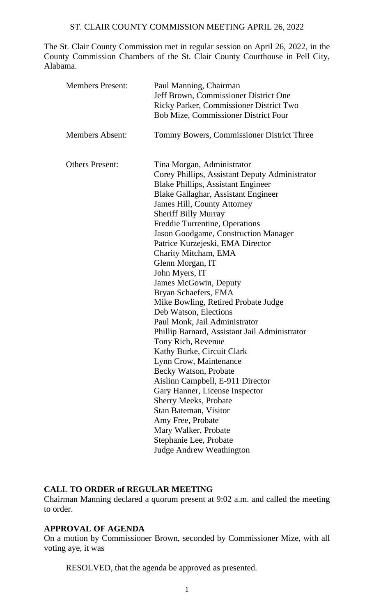The St. Clair County Commission met in regular session on April 26, 2022, in the County Commission Chambers of the St. Clair County Courthouse in Pell City, Alabama.

| <b>Members Present:</b> | Paul Manning, Chairman<br>Jeff Brown, Commissioner District One<br>Ricky Parker, Commissioner District Two<br><b>Bob Mize, Commissioner District Four</b>                                                                                                                                                                                                                                                                                                                                                                                                                                                                                                                                                                                                                                                                                                                                                                                                            |
|-------------------------|----------------------------------------------------------------------------------------------------------------------------------------------------------------------------------------------------------------------------------------------------------------------------------------------------------------------------------------------------------------------------------------------------------------------------------------------------------------------------------------------------------------------------------------------------------------------------------------------------------------------------------------------------------------------------------------------------------------------------------------------------------------------------------------------------------------------------------------------------------------------------------------------------------------------------------------------------------------------|
| <b>Members Absent:</b>  | Tommy Bowers, Commissioner District Three                                                                                                                                                                                                                                                                                                                                                                                                                                                                                                                                                                                                                                                                                                                                                                                                                                                                                                                            |
| <b>Others Present:</b>  | Tina Morgan, Administrator<br>Corey Phillips, Assistant Deputy Administrator<br><b>Blake Phillips, Assistant Engineer</b><br>Blake Gallaghar, Assistant Engineer<br><b>James Hill, County Attorney</b><br><b>Sheriff Billy Murray</b><br>Freddie Turrentine, Operations<br>Jason Goodgame, Construction Manager<br>Patrice Kurzejeski, EMA Director<br>Charity Mitcham, EMA<br>Glenn Morgan, IT<br>John Myers, IT<br>James McGowin, Deputy<br>Bryan Schaefers, EMA<br>Mike Bowling, Retired Probate Judge<br>Deb Watson, Elections<br>Paul Monk, Jail Administrator<br>Phillip Barnard, Assistant Jail Administrator<br>Tony Rich, Revenue<br>Kathy Burke, Circuit Clark<br>Lynn Crow, Maintenance<br>Becky Watson, Probate<br>Aislinn Campbell, E-911 Director<br>Gary Hanner, License Inspector<br><b>Sherry Meeks, Probate</b><br>Stan Bateman, Visitor<br>Amy Free, Probate<br>Mary Walker, Probate<br>Stephanie Lee, Probate<br><b>Judge Andrew Weathington</b> |

## **CALL TO ORDER of REGULAR MEETING**

Chairman Manning declared a quorum present at 9:02 a.m. and called the meeting to order.

# **APPROVAL OF AGENDA**

On a motion by Commissioner Brown, seconded by Commissioner Mize, with all voting aye, it was

RESOLVED, that the agenda be approved as presented.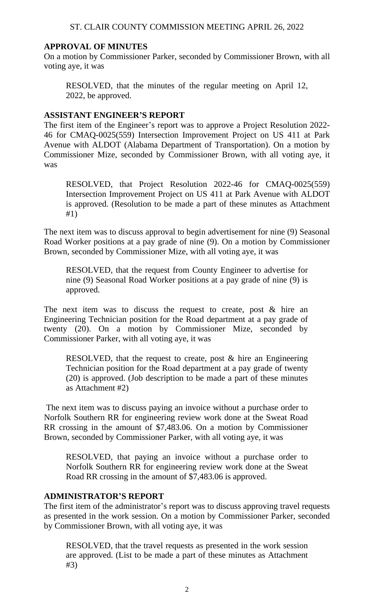### **APPROVAL OF MINUTES**

On a motion by Commissioner Parker, seconded by Commissioner Brown, with all voting aye, it was

RESOLVED, that the minutes of the regular meeting on April 12, 2022, be approved.

#### **ASSISTANT ENGINEER'S REPORT**

The first item of the Engineer's report was to approve a Project Resolution 2022- 46 for CMAQ-0025(559) Intersection Improvement Project on US 411 at Park Avenue with ALDOT (Alabama Department of Transportation). On a motion by Commissioner Mize, seconded by Commissioner Brown, with all voting aye, it was

RESOLVED, that Project Resolution 2022-46 for CMAQ-0025(559) Intersection Improvement Project on US 411 at Park Avenue with ALDOT is approved. (Resolution to be made a part of these minutes as Attachment #1)

The next item was to discuss approval to begin advertisement for nine (9) Seasonal Road Worker positions at a pay grade of nine (9). On a motion by Commissioner Brown, seconded by Commissioner Mize, with all voting aye, it was

RESOLVED, that the request from County Engineer to advertise for nine (9) Seasonal Road Worker positions at a pay grade of nine (9) is approved.

The next item was to discuss the request to create, post  $\&$  hire an Engineering Technician position for the Road department at a pay grade of twenty (20). On a motion by Commissioner Mize, seconded by Commissioner Parker, with all voting aye, it was

RESOLVED, that the request to create, post & hire an Engineering Technician position for the Road department at a pay grade of twenty (20) is approved. (Job description to be made a part of these minutes as Attachment #2)

The next item was to discuss paying an invoice without a purchase order to Norfolk Southern RR for engineering review work done at the Sweat Road RR crossing in the amount of \$7,483.06. On a motion by Commissioner Brown, seconded by Commissioner Parker, with all voting aye, it was

RESOLVED, that paying an invoice without a purchase order to Norfolk Southern RR for engineering review work done at the Sweat Road RR crossing in the amount of \$7,483.06 is approved.

### **ADMINISTRATOR'S REPORT**

The first item of the administrator's report was to discuss approving travel requests as presented in the work session. On a motion by Commissioner Parker, seconded by Commissioner Brown, with all voting aye, it was

RESOLVED, that the travel requests as presented in the work session are approved. (List to be made a part of these minutes as Attachment #3)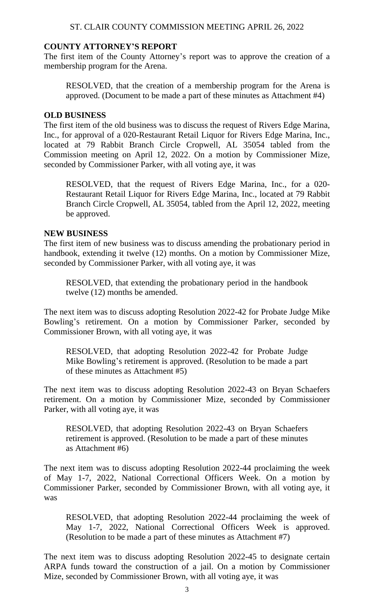## **COUNTY ATTORNEY'S REPORT**

The first item of the County Attorney's report was to approve the creation of a membership program for the Arena.

RESOLVED, that the creation of a membership program for the Arena is approved. (Document to be made a part of these minutes as Attachment #4)

#### **OLD BUSINESS**

The first item of the old business was to discuss the request of Rivers Edge Marina, Inc., for approval of a 020-Restaurant Retail Liquor for Rivers Edge Marina, Inc., located at 79 Rabbit Branch Circle Cropwell, AL 35054 tabled from the Commission meeting on April 12, 2022. On a motion by Commissioner Mize, seconded by Commissioner Parker, with all voting aye, it was

RESOLVED, that the request of Rivers Edge Marina, Inc., for a 020- Restaurant Retail Liquor for Rivers Edge Marina, Inc., located at 79 Rabbit Branch Circle Cropwell, AL 35054, tabled from the April 12, 2022, meeting be approved.

#### **NEW BUSINESS**

The first item of new business was to discuss amending the probationary period in handbook, extending it twelve (12) months. On a motion by Commissioner Mize, seconded by Commissioner Parker, with all voting aye, it was

RESOLVED, that extending the probationary period in the handbook twelve (12) months be amended.

The next item was to discuss adopting Resolution 2022-42 for Probate Judge Mike Bowling's retirement. On a motion by Commissioner Parker, seconded by Commissioner Brown, with all voting aye, it was

RESOLVED, that adopting Resolution 2022-42 for Probate Judge Mike Bowling's retirement is approved. (Resolution to be made a part of these minutes as Attachment #5)

The next item was to discuss adopting Resolution 2022-43 on Bryan Schaefers retirement. On a motion by Commissioner Mize, seconded by Commissioner Parker, with all voting aye, it was

RESOLVED, that adopting Resolution 2022-43 on Bryan Schaefers retirement is approved. (Resolution to be made a part of these minutes as Attachment #6)

The next item was to discuss adopting Resolution 2022-44 proclaiming the week of May 1-7, 2022, National Correctional Officers Week. On a motion by Commissioner Parker, seconded by Commissioner Brown, with all voting aye, it was

RESOLVED, that adopting Resolution 2022-44 proclaiming the week of May 1-7, 2022, National Correctional Officers Week is approved. (Resolution to be made a part of these minutes as Attachment #7)

The next item was to discuss adopting Resolution 2022-45 to designate certain ARPA funds toward the construction of a jail. On a motion by Commissioner Mize, seconded by Commissioner Brown, with all voting aye, it was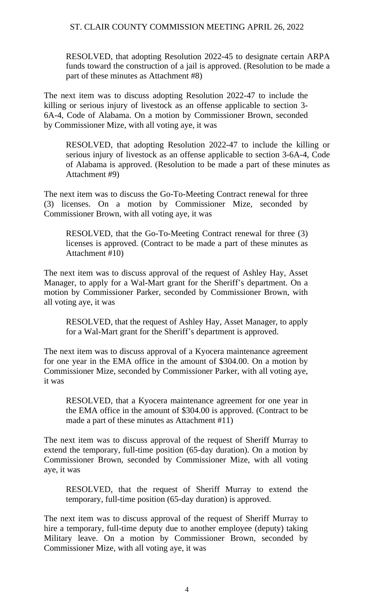RESOLVED, that adopting Resolution 2022-45 to designate certain ARPA funds toward the construction of a jail is approved. (Resolution to be made a part of these minutes as Attachment #8)

The next item was to discuss adopting Resolution 2022-47 to include the killing or serious injury of livestock as an offense applicable to section 3- 6A-4, Code of Alabama. On a motion by Commissioner Brown, seconded by Commissioner Mize, with all voting aye, it was

RESOLVED, that adopting Resolution 2022-47 to include the killing or serious injury of livestock as an offense applicable to section 3-6A-4, Code of Alabama is approved. (Resolution to be made a part of these minutes as Attachment #9)

The next item was to discuss the Go-To-Meeting Contract renewal for three (3) licenses. On a motion by Commissioner Mize, seconded by Commissioner Brown, with all voting aye, it was

RESOLVED, that the Go-To-Meeting Contract renewal for three (3) licenses is approved. (Contract to be made a part of these minutes as Attachment #10)

The next item was to discuss approval of the request of Ashley Hay, Asset Manager, to apply for a Wal-Mart grant for the Sheriff's department. On a motion by Commissioner Parker, seconded by Commissioner Brown, with all voting aye, it was

RESOLVED, that the request of Ashley Hay, Asset Manager, to apply for a Wal-Mart grant for the Sheriff's department is approved.

The next item was to discuss approval of a Kyocera maintenance agreement for one year in the EMA office in the amount of \$304.00. On a motion by Commissioner Mize, seconded by Commissioner Parker, with all voting aye, it was

RESOLVED, that a Kyocera maintenance agreement for one year in the EMA office in the amount of \$304.00 is approved. (Contract to be made a part of these minutes as Attachment #11)

The next item was to discuss approval of the request of Sheriff Murray to extend the temporary, full-time position (65-day duration). On a motion by Commissioner Brown, seconded by Commissioner Mize, with all voting aye, it was

RESOLVED, that the request of Sheriff Murray to extend the temporary, full-time position (65-day duration) is approved.

The next item was to discuss approval of the request of Sheriff Murray to hire a temporary, full-time deputy due to another employee (deputy) taking Military leave. On a motion by Commissioner Brown, seconded by Commissioner Mize, with all voting aye, it was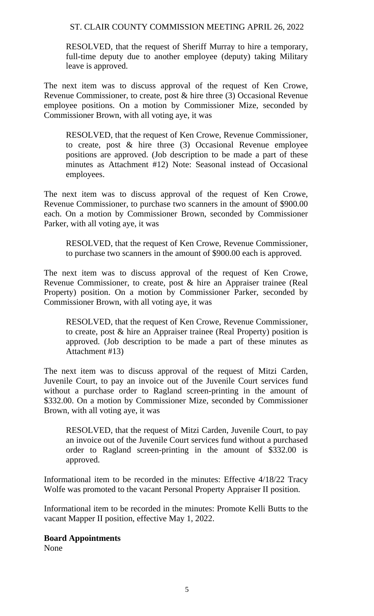RESOLVED, that the request of Sheriff Murray to hire a temporary, full-time deputy due to another employee (deputy) taking Military leave is approved.

The next item was to discuss approval of the request of Ken Crowe, Revenue Commissioner, to create, post & hire three (3) Occasional Revenue employee positions. On a motion by Commissioner Mize, seconded by Commissioner Brown, with all voting aye, it was

RESOLVED, that the request of Ken Crowe, Revenue Commissioner, to create, post & hire three (3) Occasional Revenue employee positions are approved. (Job description to be made a part of these minutes as Attachment #12) Note: Seasonal instead of Occasional employees.

The next item was to discuss approval of the request of Ken Crowe, Revenue Commissioner, to purchase two scanners in the amount of \$900.00 each. On a motion by Commissioner Brown, seconded by Commissioner Parker, with all voting aye, it was

RESOLVED, that the request of Ken Crowe, Revenue Commissioner, to purchase two scanners in the amount of \$900.00 each is approved.

The next item was to discuss approval of the request of Ken Crowe, Revenue Commissioner, to create, post & hire an Appraiser trainee (Real Property) position. On a motion by Commissioner Parker, seconded by Commissioner Brown, with all voting aye, it was

RESOLVED, that the request of Ken Crowe, Revenue Commissioner, to create, post & hire an Appraiser trainee (Real Property) position is approved. (Job description to be made a part of these minutes as Attachment #13)

The next item was to discuss approval of the request of Mitzi Carden, Juvenile Court, to pay an invoice out of the Juvenile Court services fund without a purchase order to Ragland screen-printing in the amount of \$332.00. On a motion by Commissioner Mize, seconded by Commissioner Brown, with all voting aye, it was

RESOLVED, that the request of Mitzi Carden, Juvenile Court, to pay an invoice out of the Juvenile Court services fund without a purchased order to Ragland screen-printing in the amount of \$332.00 is approved.

Informational item to be recorded in the minutes: Effective 4/18/22 Tracy Wolfe was promoted to the vacant Personal Property Appraiser II position.

Informational item to be recorded in the minutes: Promote Kelli Butts to the vacant Mapper II position, effective May 1, 2022.

### **Board Appointments**

None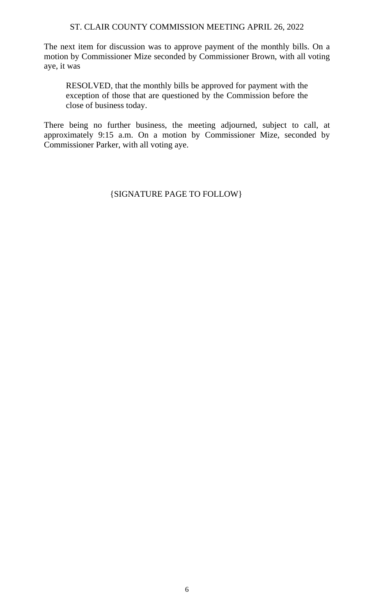The next item for discussion was to approve payment of the monthly bills. On a motion by Commissioner Mize seconded by Commissioner Brown, with all voting aye, it was

RESOLVED, that the monthly bills be approved for payment with the exception of those that are questioned by the Commission before the close of business today.

There being no further business, the meeting adjourned, subject to call, at approximately 9:15 a.m. On a motion by Commissioner Mize, seconded by Commissioner Parker, with all voting aye.

{SIGNATURE PAGE TO FOLLOW}